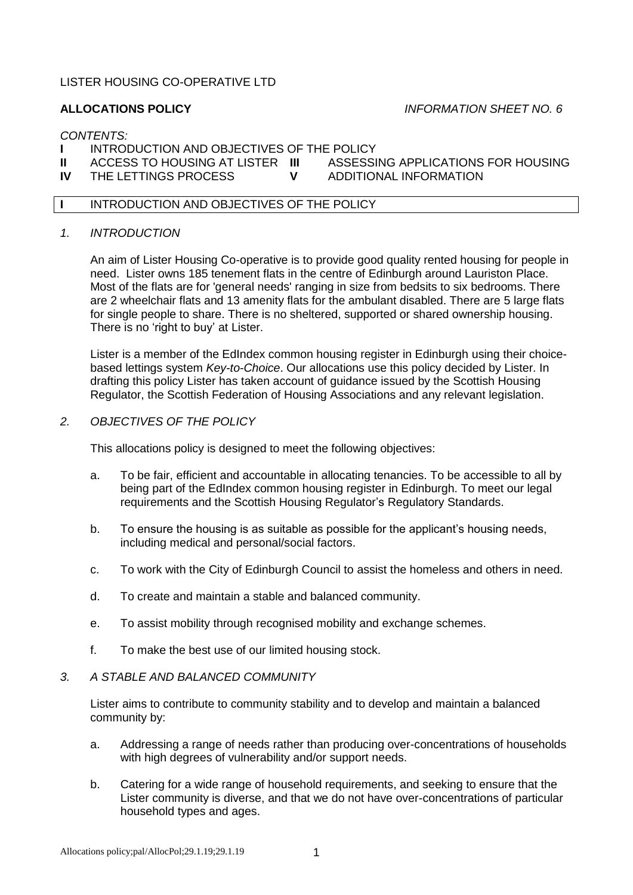# LISTER HOUSING CO-OPERATIVE LTD

# **ALLOCATIONS POLICY** *INFORMATION SHEET NO. 6*

#### *CONTENTS:*

- **I** INTRODUCTION AND OBJECTIVES OF THE POLICY<br>**II** ACCESS TO HOUSING AT LISTER **III** ASSESSING APPLICATIONS FOR HOUSING
- **II** ACCESS TO HOUSING AT LISTER **III** ASSESSING APPLICATIONS<br>IV THE LETTINGS PROCESS **FOR HOUSING ALC** HOUSING APPLICATION
- **ITHE LETTINGS PROCESS**
- 
- **I** INTRODUCTION AND OBJECTIVES OF THE POLICY

## *1. INTRODUCTION*

An aim of Lister Housing Co-operative is to provide good quality rented housing for people in need. Lister owns 185 tenement flats in the centre of Edinburgh around Lauriston Place. Most of the flats are for 'general needs' ranging in size from bedsits to six bedrooms. There are 2 wheelchair flats and 13 amenity flats for the ambulant disabled. There are 5 large flats for single people to share. There is no sheltered, supported or shared ownership housing. There is no 'right to buy' at Lister.

Lister is a member of the EdIndex common housing register in Edinburgh using their choicebased lettings system *Key-to-Choice*. Our allocations use this policy decided by Lister. In drafting this policy Lister has taken account of guidance issued by the Scottish Housing Regulator, the Scottish Federation of Housing Associations and any relevant legislation.

#### *2. OBJECTIVES OF THE POLICY*

This allocations policy is designed to meet the following objectives:

- a. To be fair, efficient and accountable in allocating tenancies. To be accessible to all by being part of the EdIndex common housing register in Edinburgh. To meet our legal requirements and the Scottish Housing Regulator's Regulatory Standards.
- b. To ensure the housing is as suitable as possible for the applicant's housing needs, including medical and personal/social factors.
- c. To work with the City of Edinburgh Council to assist the homeless and others in need.
- d. To create and maintain a stable and balanced community.
- e. To assist mobility through recognised mobility and exchange schemes.
- f. To make the best use of our limited housing stock.

#### *3. A STABLE AND BALANCED COMMUNITY*

Lister aims to contribute to community stability and to develop and maintain a balanced community by:

- a. Addressing a range of needs rather than producing over-concentrations of households with high degrees of vulnerability and/or support needs.
- b. Catering for a wide range of household requirements, and seeking to ensure that the Lister community is diverse, and that we do not have over-concentrations of particular household types and ages.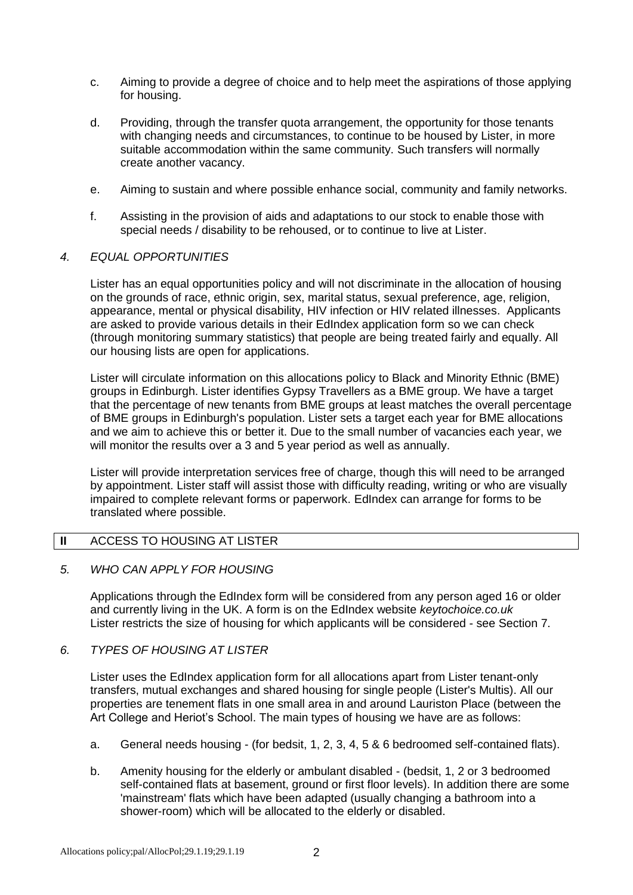- c. Aiming to provide a degree of choice and to help meet the aspirations of those applying for housing.
- d. Providing, through the transfer quota arrangement, the opportunity for those tenants with changing needs and circumstances, to continue to be housed by Lister, in more suitable accommodation within the same community. Such transfers will normally create another vacancy.
- e. Aiming to sustain and where possible enhance social, community and family networks.
- f. Assisting in the provision of aids and adaptations to our stock to enable those with special needs / disability to be rehoused, or to continue to live at Lister.

#### *4. EQUAL OPPORTUNITIES*

Lister has an equal opportunities policy and will not discriminate in the allocation of housing on the grounds of race, ethnic origin, sex, marital status, sexual preference, age, religion, appearance, mental or physical disability, HIV infection or HIV related illnesses. Applicants are asked to provide various details in their EdIndex application form so we can check (through monitoring summary statistics) that people are being treated fairly and equally. All our housing lists are open for applications.

Lister will circulate information on this allocations policy to Black and Minority Ethnic (BME) groups in Edinburgh. Lister identifies Gypsy Travellers as a BME group. We have a target that the percentage of new tenants from BME groups at least matches the overall percentage of BME groups in Edinburgh's population. Lister sets a target each year for BME allocations and we aim to achieve this or better it. Due to the small number of vacancies each year, we will monitor the results over a 3 and 5 year period as well as annually.

Lister will provide interpretation services free of charge, though this will need to be arranged by appointment. Lister staff will assist those with difficulty reading, writing or who are visually impaired to complete relevant forms or paperwork. EdIndex can arrange for forms to be translated where possible.

# **II** ACCESS TO HOUSING AT LISTER

#### *5. WHO CAN APPLY FOR HOUSING*

Applications through the EdIndex form will be considered from any person aged 16 or older and currently living in the UK. A form is on the EdIndex website *keytochoice.co.uk* Lister restricts the size of housing for which applicants will be considered - see Section 7.

#### *6. TYPES OF HOUSING AT LISTER*

Lister uses the EdIndex application form for all allocations apart from Lister tenant-only transfers, mutual exchanges and shared housing for single people (Lister's Multis). All our properties are tenement flats in one small area in and around Lauriston Place (between the Art College and Heriot's School. The main types of housing we have are as follows:

- a. General needs housing (for bedsit, 1, 2, 3, 4, 5 & 6 bedroomed self-contained flats).
- b. Amenity housing for the elderly or ambulant disabled (bedsit, 1, 2 or 3 bedroomed self-contained flats at basement, ground or first floor levels). In addition there are some 'mainstream' flats which have been adapted (usually changing a bathroom into a shower-room) which will be allocated to the elderly or disabled.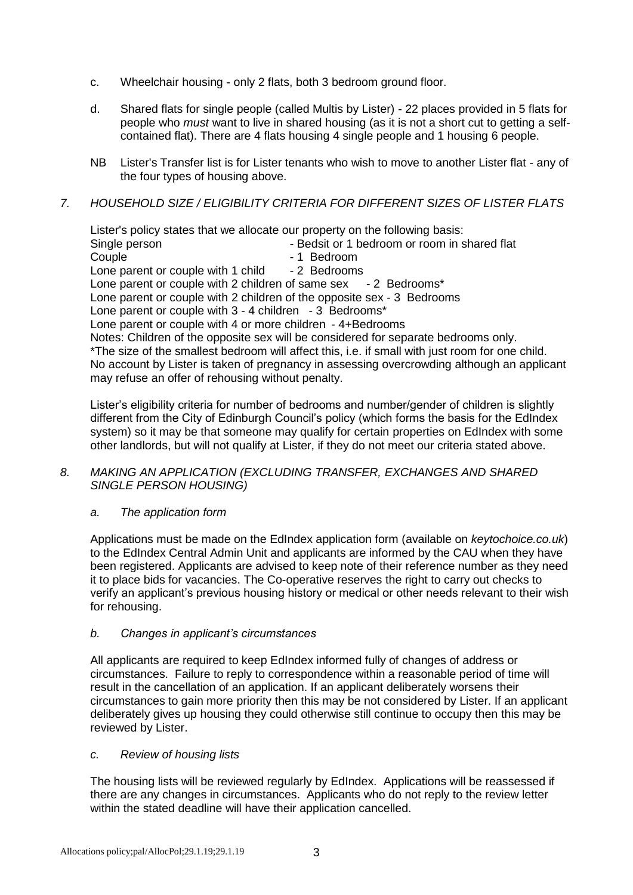- c. Wheelchair housing only 2 flats, both 3 bedroom ground floor.
- d. Shared flats for single people (called Multis by Lister) 22 places provided in 5 flats for people who *must* want to live in shared housing (as it is not a short cut to getting a selfcontained flat). There are 4 flats housing 4 single people and 1 housing 6 people.
- NB Lister's Transfer list is for Lister tenants who wish to move to another Lister flat any of the four types of housing above.

# *7. HOUSEHOLD SIZE / ELIGIBILITY CRITERIA FOR DIFFERENT SIZES OF LISTER FLATS*

Lister's policy states that we allocate our property on the following basis:

Single person **EXALL SHOW BED ASSESSED** - Bedsit or 1 bedroom or room in shared flat Couple - 1 Bedroom<br>
Lone parent or couple with 1 child - 2 Bedrooms Lone parent or couple with 1 child Lone parent or couple with 2 children of same sex - 2 Bedrooms\* Lone parent or couple with 2 children of the opposite sex - 3 Bedrooms Lone parent or couple with 3 - 4 children - 3 Bedrooms\* Lone parent or couple with 4 or more children - 4+Bedrooms Notes: Children of the opposite sex will be considered for separate bedrooms only. \*The size of the smallest bedroom will affect this, i.e. if small with just room for one child. No account by Lister is taken of pregnancy in assessing overcrowding although an applicant may refuse an offer of rehousing without penalty.

Lister's eligibility criteria for number of bedrooms and number/gender of children is slightly different from the City of Edinburgh Council's policy (which forms the basis for the EdIndex system) so it may be that someone may qualify for certain properties on EdIndex with some other landlords, but will not qualify at Lister, if they do not meet our criteria stated above.

#### *8. MAKING AN APPLICATION (EXCLUDING TRANSFER, EXCHANGES AND SHARED SINGLE PERSON HOUSING)*

## *a. The application form*

Applications must be made on the EdIndex application form (available on *keytochoice.co.uk*) to the EdIndex Central Admin Unit and applicants are informed by the CAU when they have been registered. Applicants are advised to keep note of their reference number as they need it to place bids for vacancies. The Co-operative reserves the right to carry out checks to verify an applicant's previous housing history or medical or other needs relevant to their wish for rehousing.

## *b. Changes in applicant's circumstances*

All applicants are required to keep EdIndex informed fully of changes of address or circumstances. Failure to reply to correspondence within a reasonable period of time will result in the cancellation of an application. If an applicant deliberately worsens their circumstances to gain more priority then this may be not considered by Lister. If an applicant deliberately gives up housing they could otherwise still continue to occupy then this may be reviewed by Lister.

## *c. Review of housing lists*

The housing lists will be reviewed regularly by EdIndex. Applications will be reassessed if there are any changes in circumstances. Applicants who do not reply to the review letter within the stated deadline will have their application cancelled.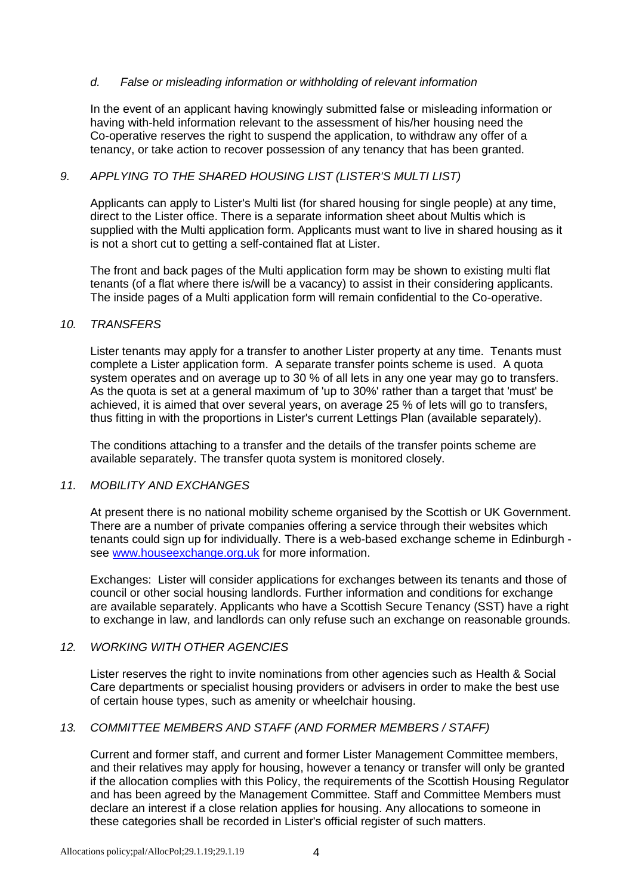## *d. False or misleading information or withholding of relevant information*

In the event of an applicant having knowingly submitted false or misleading information or having with-held information relevant to the assessment of his/her housing need the Co-operative reserves the right to suspend the application, to withdraw any offer of a tenancy, or take action to recover possession of any tenancy that has been granted.

# *9. APPLYING TO THE SHARED HOUSING LIST (LISTER'S MULTI LIST)*

Applicants can apply to Lister's Multi list (for shared housing for single people) at any time, direct to the Lister office. There is a separate information sheet about Multis which is supplied with the Multi application form. Applicants must want to live in shared housing as it is not a short cut to getting a self-contained flat at Lister.

The front and back pages of the Multi application form may be shown to existing multi flat tenants (of a flat where there is/will be a vacancy) to assist in their considering applicants. The inside pages of a Multi application form will remain confidential to the Co-operative.

## *10. TRANSFERS*

Lister tenants may apply for a transfer to another Lister property at any time. Tenants must complete a Lister application form. A separate transfer points scheme is used. A quota system operates and on average up to 30 % of all lets in any one year may go to transfers. As the quota is set at a general maximum of 'up to 30%' rather than a target that 'must' be achieved, it is aimed that over several years, on average 25 % of lets will go to transfers, thus fitting in with the proportions in Lister's current Lettings Plan (available separately).

The conditions attaching to a transfer and the details of the transfer points scheme are available separately. The transfer quota system is monitored closely.

## *11. MOBILITY AND EXCHANGES*

At present there is no national mobility scheme organised by the Scottish or UK Government. There are a number of private companies offering a service through their websites which tenants could sign up for individually. There is a web-based exchange scheme in Edinburgh see [www.houseexchange.org.uk](http://www.houseexchange.org.uk/) for more information.

Exchanges: Lister will consider applications for exchanges between its tenants and those of council or other social housing landlords. Further information and conditions for exchange are available separately. Applicants who have a Scottish Secure Tenancy (SST) have a right to exchange in law, and landlords can only refuse such an exchange on reasonable grounds.

## *12. WORKING WITH OTHER AGENCIES*

Lister reserves the right to invite nominations from other agencies such as Health & Social Care departments or specialist housing providers or advisers in order to make the best use of certain house types, such as amenity or wheelchair housing.

## *13. COMMITTEE MEMBERS AND STAFF (AND FORMER MEMBERS / STAFF)*

Current and former staff, and current and former Lister Management Committee members, and their relatives may apply for housing, however a tenancy or transfer will only be granted if the allocation complies with this Policy, the requirements of the Scottish Housing Regulator and has been agreed by the Management Committee. Staff and Committee Members must declare an interest if a close relation applies for housing. Any allocations to someone in these categories shall be recorded in Lister's official register of such matters.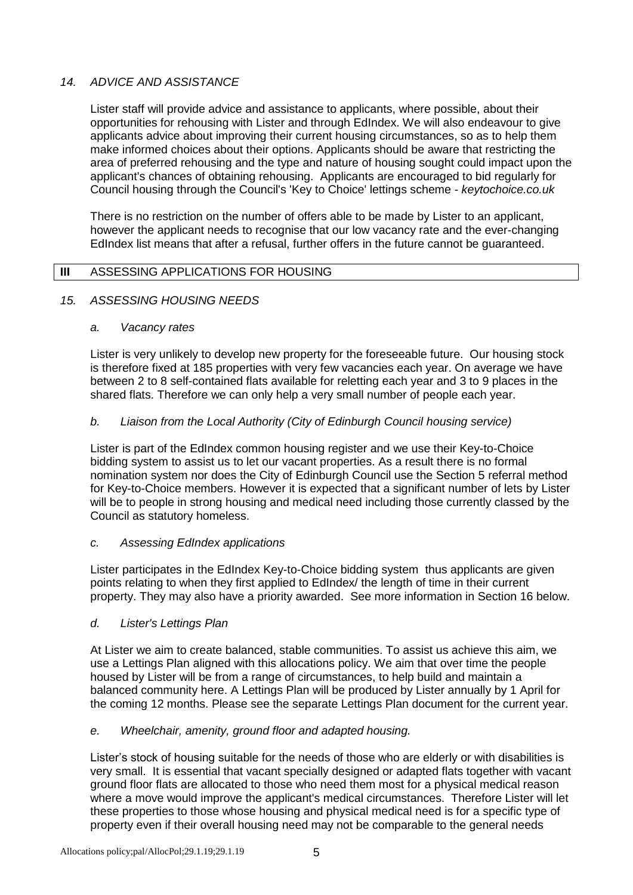# *14. ADVICE AND ASSISTANCE*

Lister staff will provide advice and assistance to applicants, where possible, about their opportunities for rehousing with Lister and through EdIndex. We will also endeavour to give applicants advice about improving their current housing circumstances, so as to help them make informed choices about their options. Applicants should be aware that restricting the area of preferred rehousing and the type and nature of housing sought could impact upon the applicant's chances of obtaining rehousing. Applicants are encouraged to bid regularly for Council housing through the Council's 'Key to Choice' lettings scheme - *keytochoice.co.uk*

There is no restriction on the number of offers able to be made by Lister to an applicant, however the applicant needs to recognise that our low vacancy rate and the ever-changing EdIndex list means that after a refusal, further offers in the future cannot be guaranteed.

## **III** ASSESSING APPLICATIONS FOR HOUSING

#### *15. ASSESSING HOUSING NEEDS*

#### *a. Vacancy rates*

Lister is very unlikely to develop new property for the foreseeable future. Our housing stock is therefore fixed at 185 properties with very few vacancies each year. On average we have between 2 to 8 self-contained flats available for reletting each year and 3 to 9 places in the shared flats. Therefore we can only help a very small number of people each year.

## *b. Liaison from the Local Authority (City of Edinburgh Council housing service)*

Lister is part of the EdIndex common housing register and we use their Key-to-Choice bidding system to assist us to let our vacant properties. As a result there is no formal nomination system nor does the City of Edinburgh Council use the Section 5 referral method for Key-to-Choice members. However it is expected that a significant number of lets by Lister will be to people in strong housing and medical need including those currently classed by the Council as statutory homeless.

#### *c. Assessing EdIndex applications*

Lister participates in the EdIndex Key-to-Choice bidding system thus applicants are given points relating to when they first applied to EdIndex/ the length of time in their current property. They may also have a priority awarded. See more information in Section 16 below.

## *d. Lister's Lettings Plan*

At Lister we aim to create balanced, stable communities. To assist us achieve this aim, we use a Lettings Plan aligned with this allocations policy. We aim that over time the people housed by Lister will be from a range of circumstances, to help build and maintain a balanced community here. A Lettings Plan will be produced by Lister annually by 1 April for the coming 12 months. Please see the separate Lettings Plan document for the current year.

## *e. Wheelchair, amenity, ground floor and adapted housing.*

Lister's stock of housing suitable for the needs of those who are elderly or with disabilities is very small. It is essential that vacant specially designed or adapted flats together with vacant ground floor flats are allocated to those who need them most for a physical medical reason where a move would improve the applicant's medical circumstances. Therefore Lister will let these properties to those whose housing and physical medical need is for a specific type of property even if their overall housing need may not be comparable to the general needs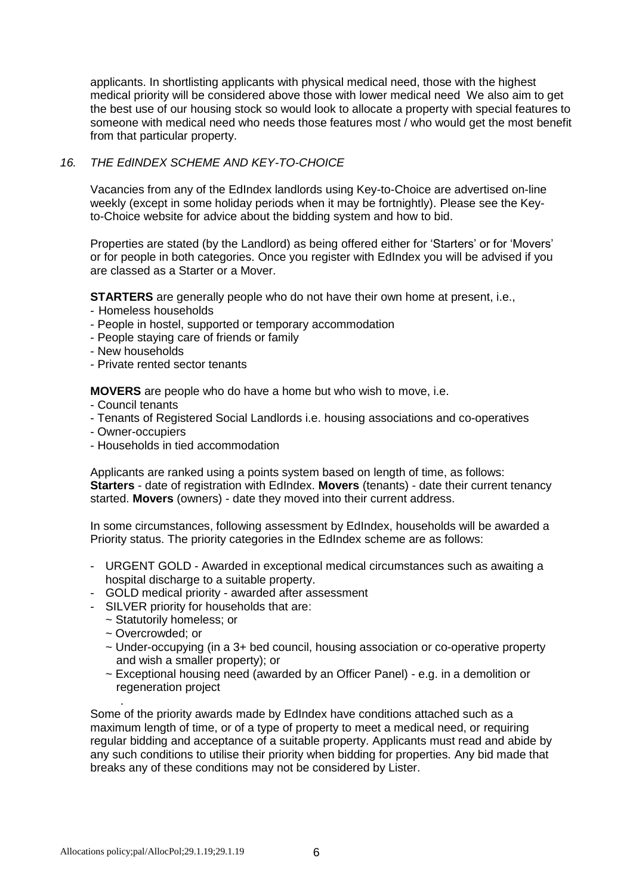applicants. In shortlisting applicants with physical medical need, those with the highest medical priority will be considered above those with lower medical need We also aim to get the best use of our housing stock so would look to allocate a property with special features to someone with medical need who needs those features most / who would get the most benefit from that particular property.

# *16. THE EdINDEX SCHEME AND KEY-TO-CHOICE*

Vacancies from any of the EdIndex landlords using Key-to-Choice are advertised on-line weekly (except in some holiday periods when it may be fortnightly). Please see the Keyto-Choice website for advice about the bidding system and how to bid.

Properties are stated (by the Landlord) as being offered either for 'Starters' or for 'Movers' or for people in both categories. Once you register with EdIndex you will be advised if you are classed as a Starter or a Mover.

**STARTERS** are generally people who do not have their own home at present, i.e.,

- Homeless households
- People in hostel, supported or temporary accommodation
- People staying care of friends or family
- New households
- Private rented sector tenants

**MOVERS** are people who do have a home but who wish to move, i.e.

- Council tenants
- Tenants of Registered Social Landlords i.e. housing associations and co-operatives
- Owner-occupiers
- Households in tied accommodation

Applicants are ranked using a points system based on length of time, as follows: **Starters** - date of registration with EdIndex. **Movers** (tenants) - date their current tenancy started. **Movers** (owners) - date they moved into their current address.

In some circumstances, following assessment by EdIndex, households will be awarded a Priority status. The priority categories in the EdIndex scheme are as follows:

- URGENT GOLD Awarded in exceptional medical circumstances such as awaiting a hospital discharge to a suitable property.
- GOLD medical priority awarded after assessment
- SILVER priority for households that are:
	- ~ Statutorily homeless; or
	- ~ Overcrowded; or
	- $\sim$  Under-occupying (in a 3+ bed council, housing association or co-operative property and wish a smaller property); or
	- $\sim$  Exceptional housing need (awarded by an Officer Panel) e.g. in a demolition or regeneration project

. Some of the priority awards made by EdIndex have conditions attached such as a maximum length of time, or of a type of property to meet a medical need, or requiring regular bidding and acceptance of a suitable property. Applicants must read and abide by any such conditions to utilise their priority when bidding for properties. Any bid made that breaks any of these conditions may not be considered by Lister.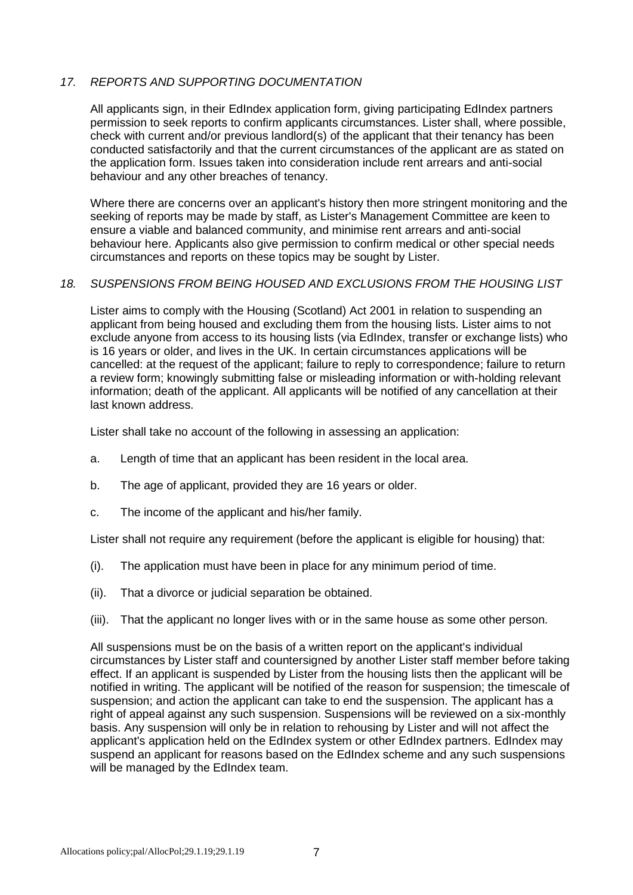# *17. REPORTS AND SUPPORTING DOCUMENTATION*

All applicants sign, in their EdIndex application form, giving participating EdIndex partners permission to seek reports to confirm applicants circumstances. Lister shall, where possible, check with current and/or previous landlord(s) of the applicant that their tenancy has been conducted satisfactorily and that the current circumstances of the applicant are as stated on the application form. Issues taken into consideration include rent arrears and anti-social behaviour and any other breaches of tenancy.

Where there are concerns over an applicant's history then more stringent monitoring and the seeking of reports may be made by staff, as Lister's Management Committee are keen to ensure a viable and balanced community, and minimise rent arrears and anti-social behaviour here. Applicants also give permission to confirm medical or other special needs circumstances and reports on these topics may be sought by Lister.

## *18. SUSPENSIONS FROM BEING HOUSED AND EXCLUSIONS FROM THE HOUSING LIST*

Lister aims to comply with the Housing (Scotland) Act 2001 in relation to suspending an applicant from being housed and excluding them from the housing lists. Lister aims to not exclude anyone from access to its housing lists (via EdIndex, transfer or exchange lists) who is 16 years or older, and lives in the UK. In certain circumstances applications will be cancelled: at the request of the applicant; failure to reply to correspondence; failure to return a review form; knowingly submitting false or misleading information or with-holding relevant information; death of the applicant. All applicants will be notified of any cancellation at their last known address.

Lister shall take no account of the following in assessing an application:

- a. Length of time that an applicant has been resident in the local area.
- b. The age of applicant, provided they are 16 years or older.
- c. The income of the applicant and his/her family.

Lister shall not require any requirement (before the applicant is eligible for housing) that:

- (i). The application must have been in place for any minimum period of time.
- (ii). That a divorce or judicial separation be obtained.
- (iii). That the applicant no longer lives with or in the same house as some other person.

All suspensions must be on the basis of a written report on the applicant's individual circumstances by Lister staff and countersigned by another Lister staff member before taking effect. If an applicant is suspended by Lister from the housing lists then the applicant will be notified in writing. The applicant will be notified of the reason for suspension; the timescale of suspension; and action the applicant can take to end the suspension. The applicant has a right of appeal against any such suspension. Suspensions will be reviewed on a six-monthly basis. Any suspension will only be in relation to rehousing by Lister and will not affect the applicant's application held on the EdIndex system or other EdIndex partners. EdIndex may suspend an applicant for reasons based on the EdIndex scheme and any such suspensions will be managed by the EdIndex team.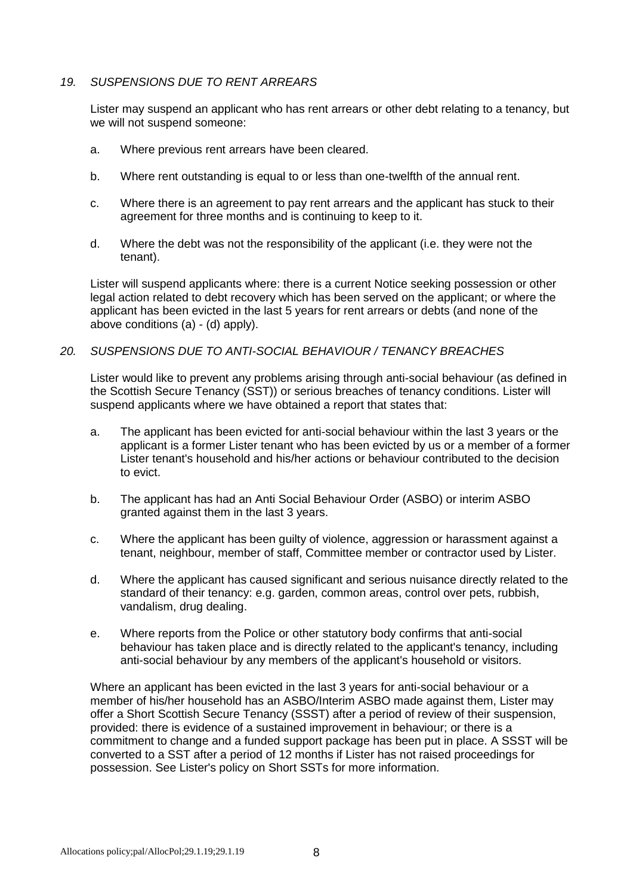# *19. SUSPENSIONS DUE TO RENT ARREARS*

Lister may suspend an applicant who has rent arrears or other debt relating to a tenancy, but we will not suspend someone:

- a. Where previous rent arrears have been cleared.
- b. Where rent outstanding is equal to or less than one-twelfth of the annual rent.
- c. Where there is an agreement to pay rent arrears and the applicant has stuck to their agreement for three months and is continuing to keep to it.
- d. Where the debt was not the responsibility of the applicant (i.e. they were not the tenant).

Lister will suspend applicants where: there is a current Notice seeking possession or other legal action related to debt recovery which has been served on the applicant; or where the applicant has been evicted in the last 5 years for rent arrears or debts (and none of the above conditions (a) - (d) apply).

#### *20. SUSPENSIONS DUE TO ANTI-SOCIAL BEHAVIOUR / TENANCY BREACHES*

Lister would like to prevent any problems arising through anti-social behaviour (as defined in the Scottish Secure Tenancy (SST)) or serious breaches of tenancy conditions. Lister will suspend applicants where we have obtained a report that states that:

- a. The applicant has been evicted for anti-social behaviour within the last 3 years or the applicant is a former Lister tenant who has been evicted by us or a member of a former Lister tenant's household and his/her actions or behaviour contributed to the decision to evict.
- b. The applicant has had an Anti Social Behaviour Order (ASBO) or interim ASBO granted against them in the last 3 years.
- c. Where the applicant has been guilty of violence, aggression or harassment against a tenant, neighbour, member of staff, Committee member or contractor used by Lister.
- d. Where the applicant has caused significant and serious nuisance directly related to the standard of their tenancy: e.g. garden, common areas, control over pets, rubbish, vandalism, drug dealing.
- e. Where reports from the Police or other statutory body confirms that anti-social behaviour has taken place and is directly related to the applicant's tenancy, including anti-social behaviour by any members of the applicant's household or visitors.

Where an applicant has been evicted in the last 3 years for anti-social behaviour or a member of his/her household has an ASBO/Interim ASBO made against them, Lister may offer a Short Scottish Secure Tenancy (SSST) after a period of review of their suspension, provided: there is evidence of a sustained improvement in behaviour; or there is a commitment to change and a funded support package has been put in place. A SSST will be converted to a SST after a period of 12 months if Lister has not raised proceedings for possession. See Lister's policy on Short SSTs for more information.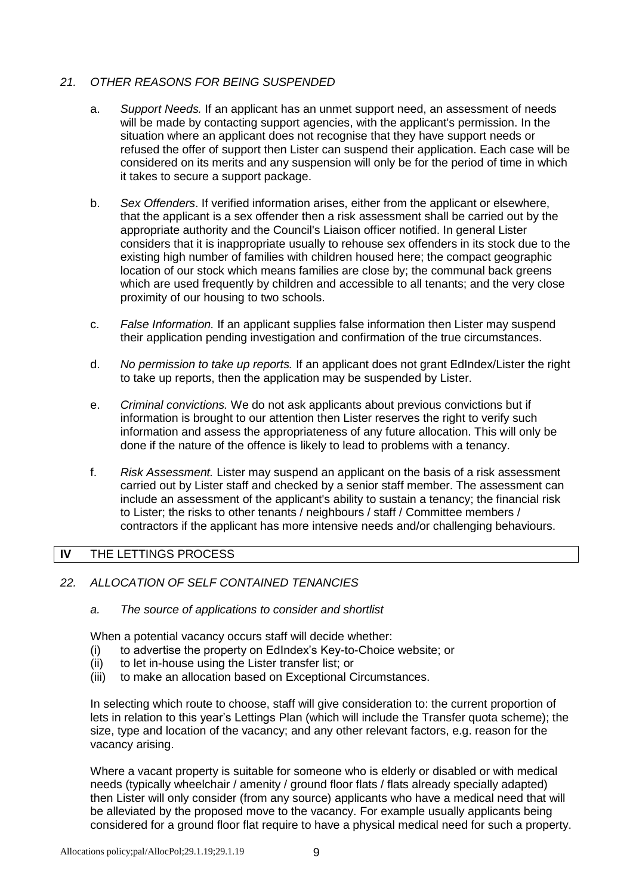# *21. OTHER REASONS FOR BEING SUSPENDED*

- a. *Support Needs.* If an applicant has an unmet support need, an assessment of needs will be made by contacting support agencies, with the applicant's permission. In the situation where an applicant does not recognise that they have support needs or refused the offer of support then Lister can suspend their application. Each case will be considered on its merits and any suspension will only be for the period of time in which it takes to secure a support package.
- b. *Sex Offenders*. If verified information arises, either from the applicant or elsewhere, that the applicant is a sex offender then a risk assessment shall be carried out by the appropriate authority and the Council's Liaison officer notified. In general Lister considers that it is inappropriate usually to rehouse sex offenders in its stock due to the existing high number of families with children housed here; the compact geographic location of our stock which means families are close by; the communal back greens which are used frequently by children and accessible to all tenants; and the very close proximity of our housing to two schools.
- c. *False Information.* If an applicant supplies false information then Lister may suspend their application pending investigation and confirmation of the true circumstances.
- d. *No permission to take up reports.* If an applicant does not grant EdIndex/Lister the right to take up reports, then the application may be suspended by Lister.
- e. *Criminal convictions.* We do not ask applicants about previous convictions but if information is brought to our attention then Lister reserves the right to verify such information and assess the appropriateness of any future allocation. This will only be done if the nature of the offence is likely to lead to problems with a tenancy.
- f. *Risk Assessment.* Lister may suspend an applicant on the basis of a risk assessment carried out by Lister staff and checked by a senior staff member. The assessment can include an assessment of the applicant's ability to sustain a tenancy; the financial risk to Lister; the risks to other tenants / neighbours / staff / Committee members / contractors if the applicant has more intensive needs and/or challenging behaviours.

# **IV** THE LETTINGS PROCESS

- *22. ALLOCATION OF SELF CONTAINED TENANCIES*
	- *a. The source of applications to consider and shortlist*

When a potential vacancy occurs staff will decide whether:

- (i) to advertise the property on EdIndex's Key-to-Choice website; or
- (ii) to let in-house using the Lister transfer list; or
- (iii) to make an allocation based on Exceptional Circumstances.

In selecting which route to choose, staff will give consideration to: the current proportion of lets in relation to this year's Lettings Plan (which will include the Transfer quota scheme); the size, type and location of the vacancy; and any other relevant factors, e.g. reason for the vacancy arising.

Where a vacant property is suitable for someone who is elderly or disabled or with medical needs (typically wheelchair / amenity / ground floor flats / flats already specially adapted) then Lister will only consider (from any source) applicants who have a medical need that will be alleviated by the proposed move to the vacancy. For example usually applicants being considered for a ground floor flat require to have a physical medical need for such a property.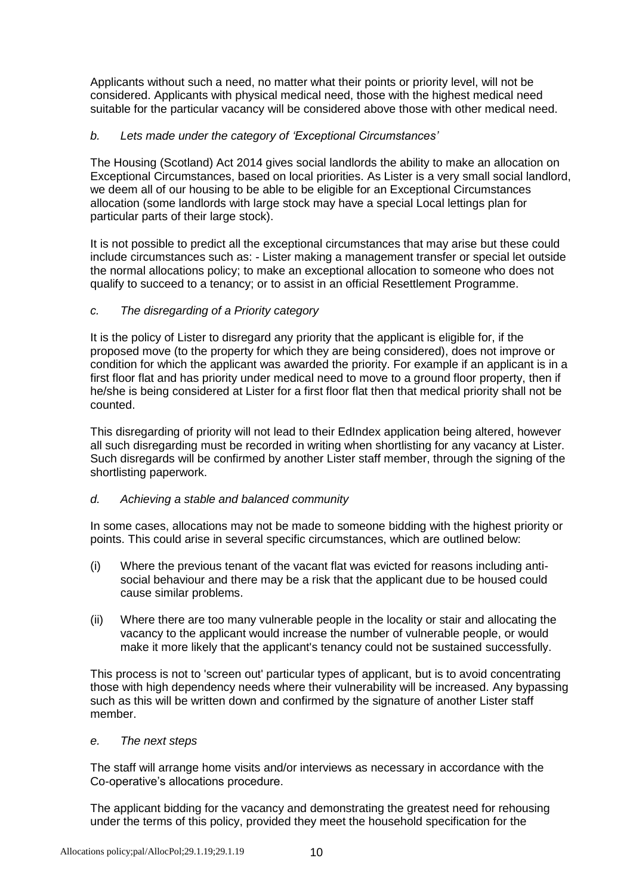Applicants without such a need, no matter what their points or priority level, will not be considered. Applicants with physical medical need, those with the highest medical need suitable for the particular vacancy will be considered above those with other medical need.

# *b. Lets made under the category of 'Exceptional Circumstances'*

The Housing (Scotland) Act 2014 gives social landlords the ability to make an allocation on Exceptional Circumstances, based on local priorities. As Lister is a very small social landlord, we deem all of our housing to be able to be eligible for an Exceptional Circumstances allocation (some landlords with large stock may have a special Local lettings plan for particular parts of their large stock).

It is not possible to predict all the exceptional circumstances that may arise but these could include circumstances such as: - Lister making a management transfer or special let outside the normal allocations policy; to make an exceptional allocation to someone who does not qualify to succeed to a tenancy; or to assist in an official Resettlement Programme.

# *c. The disregarding of a Priority category*

It is the policy of Lister to disregard any priority that the applicant is eligible for, if the proposed move (to the property for which they are being considered), does not improve or condition for which the applicant was awarded the priority. For example if an applicant is in a first floor flat and has priority under medical need to move to a ground floor property, then if he/she is being considered at Lister for a first floor flat then that medical priority shall not be counted.

This disregarding of priority will not lead to their EdIndex application being altered, however all such disregarding must be recorded in writing when shortlisting for any vacancy at Lister. Such disregards will be confirmed by another Lister staff member, through the signing of the shortlisting paperwork.

## *d. Achieving a stable and balanced community*

In some cases, allocations may not be made to someone bidding with the highest priority or points. This could arise in several specific circumstances, which are outlined below:

- (i) Where the previous tenant of the vacant flat was evicted for reasons including antisocial behaviour and there may be a risk that the applicant due to be housed could cause similar problems.
- (ii) Where there are too many vulnerable people in the locality or stair and allocating the vacancy to the applicant would increase the number of vulnerable people, or would make it more likely that the applicant's tenancy could not be sustained successfully.

This process is not to 'screen out' particular types of applicant, but is to avoid concentrating those with high dependency needs where their vulnerability will be increased. Any bypassing such as this will be written down and confirmed by the signature of another Lister staff member.

## *e. The next steps*

The staff will arrange home visits and/or interviews as necessary in accordance with the Co-operative's allocations procedure.

The applicant bidding for the vacancy and demonstrating the greatest need for rehousing under the terms of this policy, provided they meet the household specification for the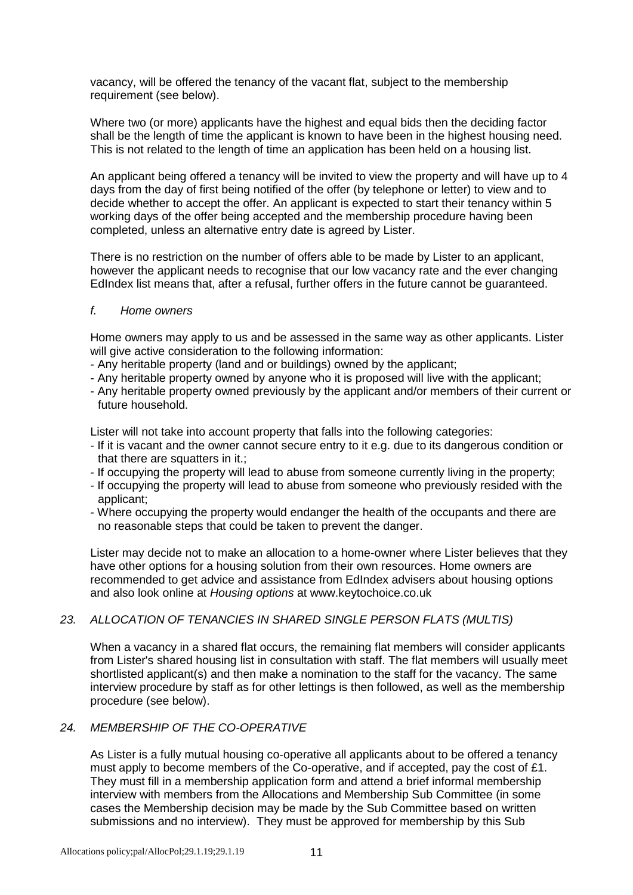vacancy, will be offered the tenancy of the vacant flat, subject to the membership requirement (see below).

Where two (or more) applicants have the highest and equal bids then the deciding factor shall be the length of time the applicant is known to have been in the highest housing need. This is not related to the length of time an application has been held on a housing list.

An applicant being offered a tenancy will be invited to view the property and will have up to 4 days from the day of first being notified of the offer (by telephone or letter) to view and to decide whether to accept the offer. An applicant is expected to start their tenancy within 5 working days of the offer being accepted and the membership procedure having been completed, unless an alternative entry date is agreed by Lister.

There is no restriction on the number of offers able to be made by Lister to an applicant, however the applicant needs to recognise that our low vacancy rate and the ever changing EdIndex list means that, after a refusal, further offers in the future cannot be guaranteed.

#### *f. Home owners*

Home owners may apply to us and be assessed in the same way as other applicants. Lister will give active consideration to the following information:

- Any heritable property (land and or buildings) owned by the applicant;
- Any heritable property owned by anyone who it is proposed will live with the applicant;
- Any heritable property owned previously by the applicant and/or members of their current or future household.

Lister will not take into account property that falls into the following categories:

- If it is vacant and the owner cannot secure entry to it e.g. due to its dangerous condition or that there are squatters in it.;
- If occupying the property will lead to abuse from someone currently living in the property;
- If occupying the property will lead to abuse from someone who previously resided with the applicant;
- Where occupying the property would endanger the health of the occupants and there are no reasonable steps that could be taken to prevent the danger.

Lister may decide not to make an allocation to a home-owner where Lister believes that they have other options for a housing solution from their own resources. Home owners are recommended to get advice and assistance from EdIndex advisers about housing options and also look online at *Housing options* at www.keytochoice.co.uk

# *23. ALLOCATION OF TENANCIES IN SHARED SINGLE PERSON FLATS (MULTIS)*

When a vacancy in a shared flat occurs, the remaining flat members will consider applicants from Lister's shared housing list in consultation with staff. The flat members will usually meet shortlisted applicant(s) and then make a nomination to the staff for the vacancy. The same interview procedure by staff as for other lettings is then followed, as well as the membership procedure (see below).

# *24. MEMBERSHIP OF THE CO-OPERATIVE*

As Lister is a fully mutual housing co-operative all applicants about to be offered a tenancy must apply to become members of the Co-operative, and if accepted, pay the cost of £1. They must fill in a membership application form and attend a brief informal membership interview with members from the Allocations and Membership Sub Committee (in some cases the Membership decision may be made by the Sub Committee based on written submissions and no interview). They must be approved for membership by this Sub